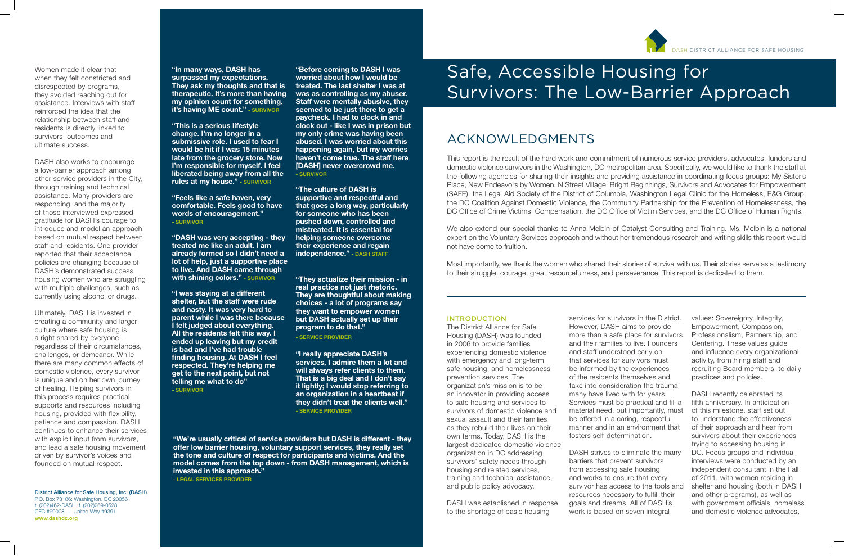# Safe, Accessible Housing for Survivors: The Low-Barrier Approach

## Acknowledgments

This report is the result of the hard work and commitment of numerous service providers, advocates, funders and domestic violence survivors in the Washington, DC metropolitan area. Specifically, we would like to thank the staff at the following agencies for sharing their insights and providing assistance in coordinating focus groups: My Sister's Place, New Endeavors by Women, N Street Village, Bright Beginnings, Survivors and Advocates for Empowerment (SAFE), the Legal Aid Society of the District of Columbia, Washington Legal Clinic for the Homeless, E&G Group, the DC Coalition Against Domestic Violence, the Community Partnership for the Prevention of Homelessness, the DC Office of Crime Victims' Compensation, the DC Office of Victim Services, and the DC Office of Human Rights.

We also extend our special thanks to Anna Melbin of Catalyst Consulting and Training. Ms. Melbin is a national expert on the Voluntary Services approach and without her tremendous research and writing skills this report would not have come to fruition.

Most importantly, we thank the women who shared their stories of survival with us. Their stories serve as a testimony to their struggle, courage, great resourcefulness, and perseverance. This report is dedicated to them.

#### **INTRODUCTION**

The District Alliance for Safe Housing (DASH) was founded in 2006 to provide families experiencing domestic violence with emergency and long-term safe housing, and homelessness prevention services. The organization's mission is to be an innovator in providing access to safe housing and services to survivors of domestic violence and sexual assault and their families as they rebuild their lives on their own terms. Today, DASH is the largest dedicated domestic violence organization in DC addressing survivors' safety needs through housing and related services, training and technical assistance, and public policy advocacy.

DASH was established in response to the shortage of basic housing

services for survivors in the District. However, DASH aims to provide more than a safe place for survivors and their families to live. Founders and staff understood early on that services for survivors must be informed by the experiences of the residents themselves and take into consideration the trauma many have lived with for years. Services must be practical and fill a material need, but importantly, must be offered in a caring, respectful manner and in an environment that fosters self-determination.

DASH strives to eliminate the many barriers that prevent survivors from accessing safe housing, and works to ensure that every survivor has access to the tools and shelter and housing (both in DASH resources necessary to fulfill their goals and dreams. All of DASH's work is based on seven integral

values: Sovereignty, Integrity, Empowerment, Compassion, Professionalism, Partnership, and Centering. These values guide and influence every organizational activity, from hiring staff and recruiting Board members, to daily practices and policies.

DASH recently celebrated its fifth anniversary. In anticipation of this milestone, staff set out to understand the effectiveness of their approach and hear from survivors about their experiences trying to accessing housing in DC. Focus groups and individual interviews were conducted by an independent consultant in the Fall of 2011, with women residing in and other programs), as well as with government officials, homeless and domestic violence advocates,

**"We're usually critical of service providers but DASH is different - they offer low barrier housing, voluntary support services, they really set the tone and culture of respect for participants and victims. And the model comes from the top down - from DASH management, which is invested in this approach."** 

**- Legal Services Provider**



District Alliance for Safe Housing, Inc. (DASH) P.O. Box 73186; Washington, DC 20056 t. (202)462-DASH f. (202)269-0528 CFC #99008 ~ United Way #9391 **www.dashdc.org**

**"In many ways, DASH has surpassed my expectations. They ask my thoughts and that is treated. The last shelter I was at therapeutic. It's more than having my opinion count for something, it's having ME count." - Survivor**

**"This is a serious lifestyle change. I'm no longer in a submissive role. I used to fear I would be hit if I was 15 minutes late from the grocery store. Now I'm responsible for myself. I feel liberated being away from all the rules at my house." - Survivor** 

**"Feels like a safe haven, very comfortable. Feels good to have words of encouragement." - Survivor**

**"DASH was very accepting - they treated me like an adult. I am already formed so I didn't need a lot of help, just a supportive place to live. And DASH came through with shining colors." - Survivor**

**"I was staying at a different shelter, but the staff were rude and nasty. It was very hard to parent while I was there because I felt judged about everything. All the residents felt this way. I ended up leaving but my credit is bad and I've had trouble finding housing. At DASH I feel respected. They're helping me get to the next point, but not telling me what to do" - Survivor**

**"Before coming to DASH I was worried about how I would be was as controlling as my abuser. Staff were mentally abusive, they seemed to be just there to get a paycheck. I had to clock in and clock out - like I was in prison but my only crime was having been abused. I was worried about this happening again, but my worries haven't come true. The staff here [DASH] never overcrowd me. - Survivor**

**"The culture of DASH is supportive and respectful and that goes a long way, particularly for someone who has been pushed down, controlled and mistreated. It is essential for helping someone overcome their experience and regain independence." - DASH Staff**

**"They actualize their mission - in real practice not just rhetoric. They are thoughtful about making choices - a lot of programs say they want to empower women but DASH actually set up their program to do that."** 

**- Service Provider**

**"I really appreciate DASH's services, I admire them a lot and**  will always refer clients to them. **That is a big deal and I don't say it lightly; I would stop referring to an organization in a heartbeat if they didn't treat the clients well." - Service Provider**

Women made it clear that when they felt constricted and disrespected by programs, they avoided reaching out for assistance. Interviews with staff reinforced the idea that the relationship between staff and residents is directly linked to survivors' outcomes and ultimate success.

DASH also works to encourage a low-barrier approach among other service providers in the City, through training and technical assistance. Many providers are responding, and the majority of those interviewed expressed gratitude for DASH's courage to introduce and model an approach based on mutual respect between staff and residents. One provider reported that their acceptance policies are changing because of DASH's demonstrated success housing women who are struggling with multiple challenges, such as currently using alcohol or drugs.

Ultimately, DASH is invested in creating a community and larger culture where safe housing is a right shared by everyone – regardless of their circumstances, challenges, or demeanor. While there are many common effects of domestic violence, every survivor is unique and on her own journey of healing. Helping survivors in this process requires practical supports and resources including housing, provided with flexibility, patience and compassion. DASH continues to enhance their services with explicit input from survivors, and lead a safe housing movement driven by survivor's voices and founded on mutual respect.